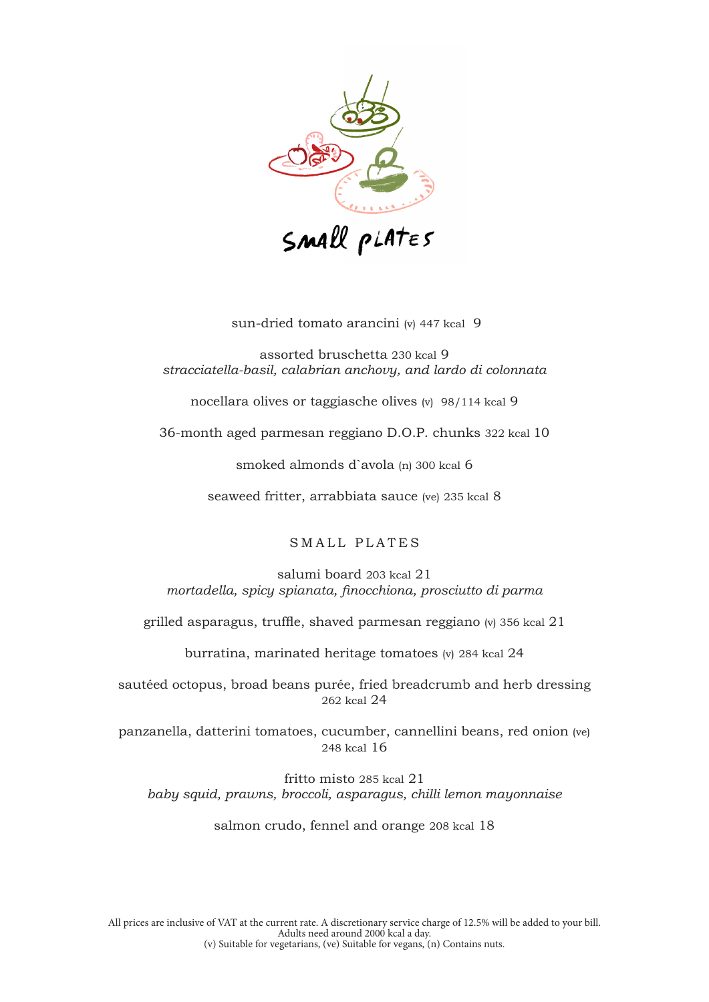

sun-dried tomato arancini (v) 447 kcal 9

assorted bruschetta 230 kcal 9 *stracciatella-basil, calabrian anchovy, and lardo di colonnata*

nocellara olives or taggiasche olives (v) 98/114 kcal 9

36-month aged parmesan reggiano D.O.P. chunks 322 kcal 10

smoked almonds d`avola (n) 300 kcal 6

seaweed fritter, arrabbiata sauce (ve) 235 kcal 8

SMALL PLATES

salumi board 203 kcal 21 *mortadella, spicy spianata, finocchiona, prosciutto di parma*

grilled asparagus, truffle, shaved parmesan reggiano (v) 356 kcal 21

burratina, marinated heritage tomatoes (v) 284 kcal 24

sautéed octopus, broad beans purée, fried breadcrumb and herb dressing 262 kcal 24

panzanella, datterini tomatoes, cucumber, cannellini beans, red onion (ve) 248 kcal 16

fritto misto 285 kcal 21 *baby squid, prawns, broccoli, asparagus, chilli lemon mayonnaise*

salmon crudo, fennel and orange 208 kcal 18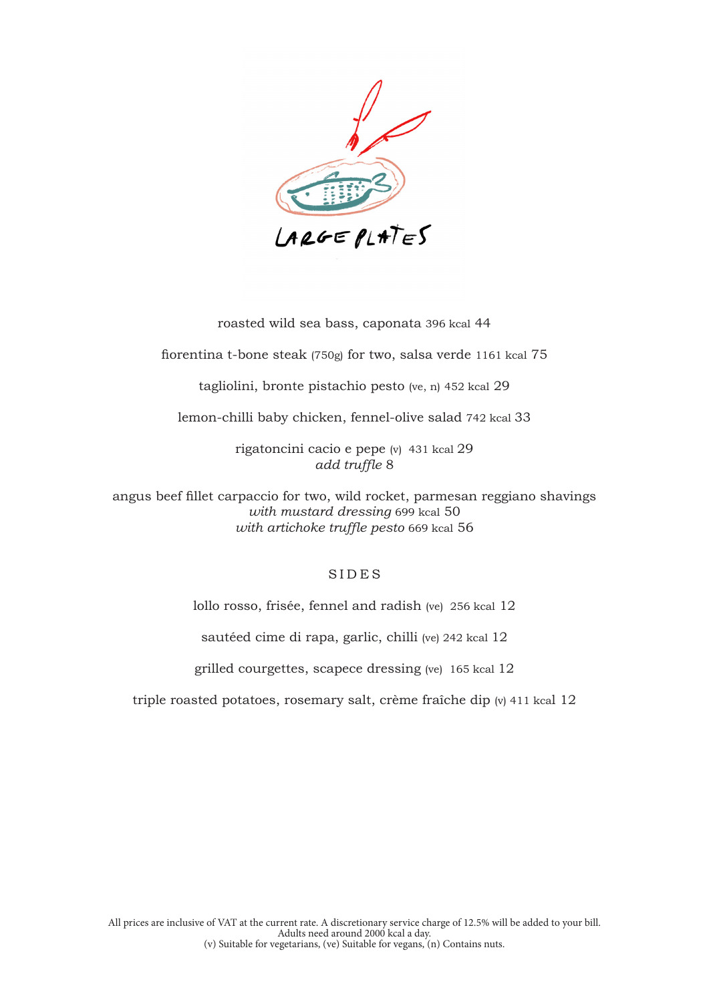

roasted wild sea bass, caponata 396 kcal 44

fiorentina t-bone steak (750g) for two, salsa verde 1161 kcal 75

tagliolini, bronte pistachio pesto (ve, n) 452 kcal 29

lemon-chilli baby chicken, fennel-olive salad 742 kcal 33

rigatoncini cacio e pepe (v) 431 kcal 29 *add truffle* 8

angus beef fillet carpaccio for two, wild rocket, parmesan reggiano shavings *with mustard dressing* 699 kcal 50 *with artichoke truffle pesto* 669 kcal 56

### SIDES

lollo rosso, frisée, fennel and radish (ve) 256 kcal 12

sautéed cime di rapa, garlic, chilli (ve) 242 kcal 12

grilled courgettes, scapece dressing (ve) 165 kcal 12

triple roasted potatoes, rosemary salt, crème fraîche dip (v) 411 kcal 12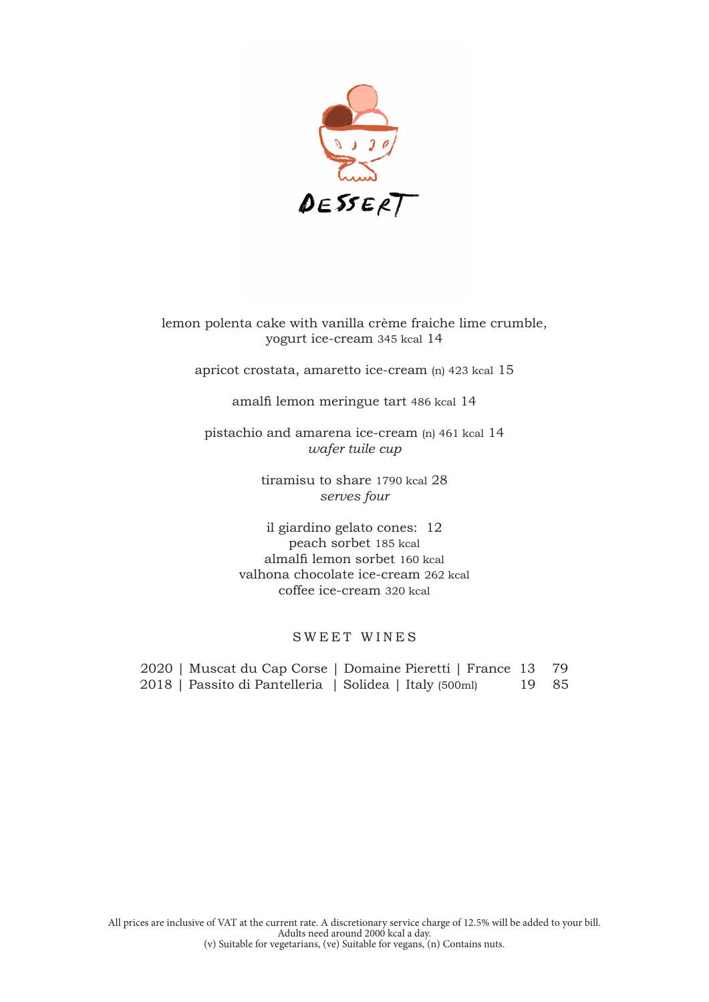

lemon polenta cake with vanilla crème fraiche lime crumble, yogurt ice-cream 345 kcal 14

apricot crostata, amaretto ice-cream (n) 423 kcal 15

amalfi lemon meringue tart 486 kcal 14

pistachio and amarena ice-cream (n) 461 kcal 14 *wafer tuile cup*

> tiramisu to share 1790 kcal 28 *serves four*

il giardino gelato cones: 12 peach sorbet 185 kcal almalfi lemon sorbet 160 kcal valhona chocolate ice-cream 262 kcal coffee ice-cream 320 kcal

# SWEET WINES

2020 | Muscat du Cap Corse | Domaine Pieretti | France 13 79 2018 | Passito di Pantelleria | Solidea | Italy (500ml) 19 85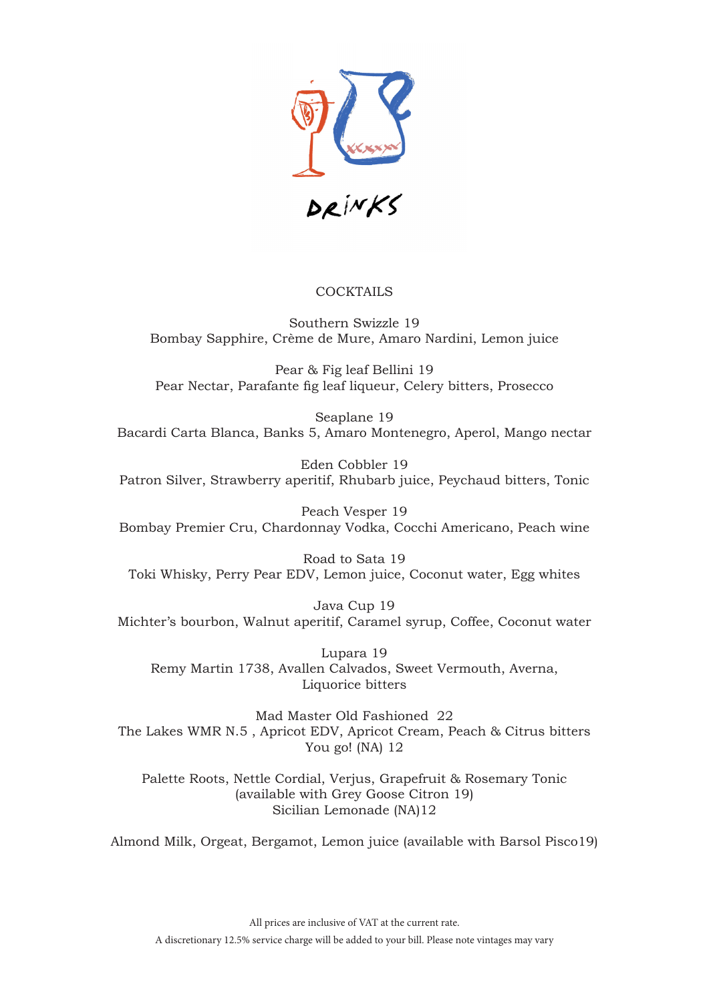

# **COCKTAILS**

Southern Swizzle 19 Bombay Sapphire, Crème de Mure, Amaro Nardini, Lemon juice

Pear & Fig leaf Bellini 19 Pear Nectar, Parafante fig leaf liqueur, Celery bitters, Prosecco

Seaplane 19 Bacardi Carta Blanca, Banks 5, Amaro Montenegro, Aperol, Mango nectar

Eden Cobbler 19 Patron Silver, Strawberry aperitif, Rhubarb juice, Peychaud bitters, Tonic

Peach Vesper 19 Bombay Premier Cru, Chardonnay Vodka, Cocchi Americano, Peach wine

Road to Sata 19 Toki Whisky, Perry Pear EDV, Lemon juice, Coconut water, Egg whites

Java Cup 19 Michter's bourbon, Walnut aperitif, Caramel syrup, Coffee, Coconut water

Lupara 19 Remy Martin 1738, Avallen Calvados, Sweet Vermouth, Averna, Liquorice bitters

Mad Master Old Fashioned 22 The Lakes WMR N.5 , Apricot EDV, Apricot Cream, Peach & Citrus bitters You go! (NA) 12

Palette Roots, Nettle Cordial, Verjus, Grapefruit & Rosemary Tonic (available with Grey Goose Citron 19) Sicilian Lemonade (NA)12

Almond Milk, Orgeat, Bergamot, Lemon juice (available with Barsol Pisco19)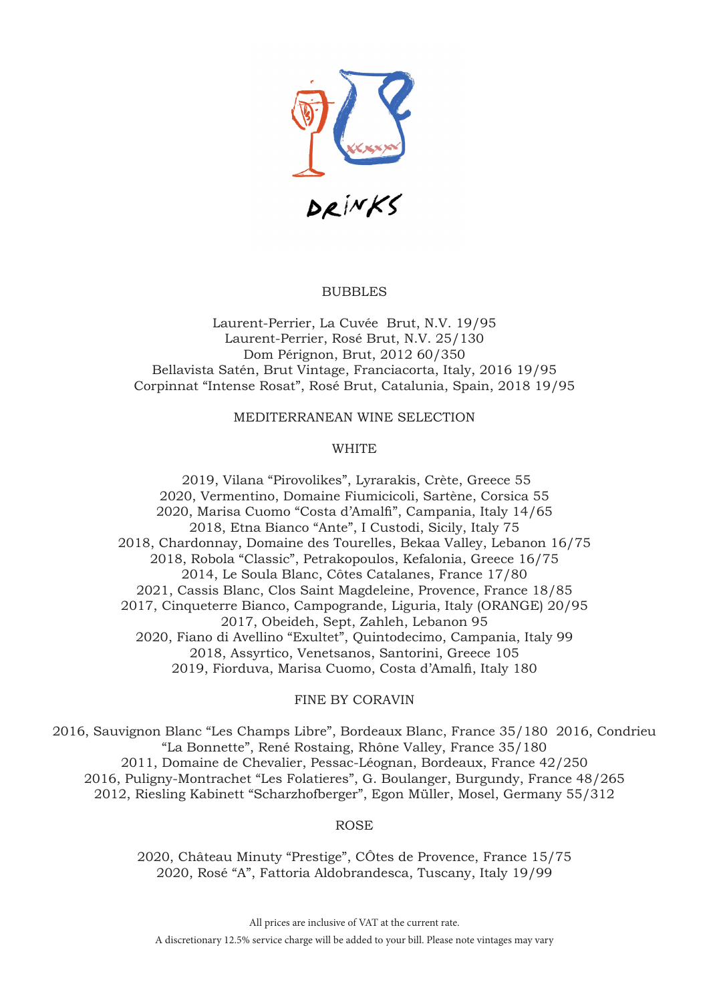

### **BUBBLES**

Laurent-Perrier, La Cuvée Brut, N.V. 19/95 Laurent-Perrier, Rosé Brut, N.V. 25/130 Dom Pérignon, Brut, 2012 60/350 Bellavista Satén, Brut Vintage, Franciacorta, Italy, 2016 19/95 Corpinnat "Intense Rosat", Rosé Brut, Catalunia, Spain, 2018 19/95

MEDITERRANEAN WINE SELECTION

## **WHITE**

 2019, Vilana "Pirovolikes", Lyrarakis, Crète, Greece 55 2020, Vermentino, Domaine Fiumicicoli, Sartène, Corsica 55 2020, Marisa Cuomo "Costa d'Amalfi", Campania, Italy 14/65 2018, Etna Bianco "Ante", I Custodi, Sicily, Italy 75 2018, Chardonnay, Domaine des Tourelles, Bekaa Valley, Lebanon 16/75 2018, Robola "Classic", Petrakopoulos, Kefalonia, Greece 16/75 2014, Le Soula Blanc, Côtes Catalanes, France 17/80 2021, Cassis Blanc, Clos Saint Magdeleine, Provence, France 18/85 2017, Cinqueterre Bianco, Campogrande, Liguria, Italy (ORANGE) 20/95 2017, Obeideh, Sept, Zahleh, Lebanon 95 2020, Fiano di Avellino "Exultet", Quintodecimo, Campania, Italy 99 2018, Assyrtico, Venetsanos, Santorini, Greece 105 2019, Fiorduva, Marisa Cuomo, Costa d'Amalfi, Italy 180

### FINE BY CORAVIN

2016, Sauvignon Blanc "Les Champs Libre", Bordeaux Blanc, France 35/180 2016, Condrieu "La Bonnette", René Rostaing, Rhône Valley, France 35/180 2011, Domaine de Chevalier, Pessac-Léognan, Bordeaux, France 42/250 2016, Puligny-Montrachet "Les Folatieres", G. Boulanger, Burgundy, France 48/265 2012, Riesling Kabinett "Scharzhofberger", Egon Müller, Mosel, Germany 55/312

### ROSE

2020, Château Minuty "Prestige", CÔtes de Provence, France 15/75 2020, Rosé "A", Fattoria Aldobrandesca, Tuscany, Italy 19/99